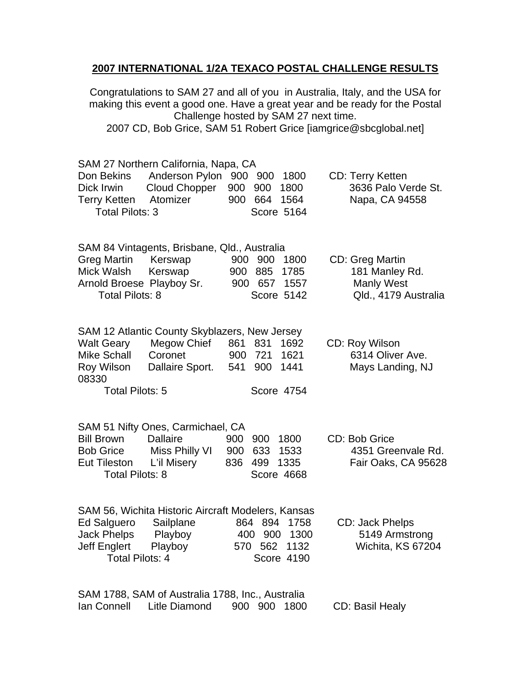## **2007 INTERNATIONAL 1/2A TEXACO POSTAL CHALLENGE RESULTS**

Congratulations to SAM 27 and all of you in Australia, Italy, and the USA for making this event a good one. Have a great year and be ready for the Postal Challenge hosted by SAM 27 next time. 2007 CD, Bob Grice, SAM 51 Robert Grice [iamgrice@sbcglobal.net]

| Don Bekins<br>Dick Irwin<br><b>Terry Ketten</b><br><b>Total Pilots: 3</b>                                                     | SAM 27 Northern California, Napa, CA<br>Cloud Chopper<br>Atomizer                               | Anderson Pylon 900 900 1800<br>900<br>900<br>1800<br>900 664<br>1564<br>Score 5164                                         | <b>CD: Terry Ketten</b><br>3636 Palo Verde St.<br>Napa, CA 94558        |  |  |  |  |  |
|-------------------------------------------------------------------------------------------------------------------------------|-------------------------------------------------------------------------------------------------|----------------------------------------------------------------------------------------------------------------------------|-------------------------------------------------------------------------|--|--|--|--|--|
| Greg Martin<br>Mick Walsh<br><b>Total Pilots: 8</b>                                                                           | SAM 84 Vintagents, Brisbane, Qld., Australia<br>Kerswap<br>Kerswap<br>Arnold Broese Playboy Sr. | 900<br>900 1800<br>885<br>900<br>1785<br>900 657<br>1557<br>Score 5142                                                     | CD: Greg Martin<br>181 Manley Rd.<br>Manly West<br>Qld., 4179 Australia |  |  |  |  |  |
| <b>Walt Geary</b><br><b>Mike Schall</b><br>Roy Wilson<br>08330<br><b>Total Pilots: 5</b>                                      | Megow Chief<br>Coronet<br>Dallaire Sport.                                                       | SAM 12 Atlantic County Skyblazers, New Jersey<br>861 831<br>1692<br>900<br>721<br>1621<br>541<br>1441<br>900<br>Score 4754 | CD: Roy Wilson<br>6314 Oliver Ave.<br>Mays Landing, NJ                  |  |  |  |  |  |
| <b>Bill Brown</b><br><b>Bob Grice</b><br>Eut Tileston<br><b>Total Pilots: 8</b>                                               | SAM 51 Nifty Ones, Carmichael, CA<br><b>Dallaire</b><br>Miss Philly VI<br>L'il Misery           | 900<br>1800<br>900<br>900 633<br>1533<br>836 499<br>1335<br>Score 4668                                                     | CD: Bob Grice<br>4351 Greenvale Rd.<br>Fair Oaks, CA 95628              |  |  |  |  |  |
| <b>Ed Salguero</b><br><b>Jack Phelps</b><br>Jeff Englert Playboy<br><b>Total Pilots: 4</b>                                    | Sailplane<br>Playboy                                                                            | SAM 56, Wichita Historic Aircraft Modelers, Kansas<br>864 894<br>1758<br>400 900<br>1300<br>570 562 1132<br>Score 4190     | CD: Jack Phelps<br>5149 Armstrong<br>Wichita, KS 67204                  |  |  |  |  |  |
| SAM 1788, SAM of Australia 1788, Inc., Australia<br><b>Litle Diamond</b><br>lan Connell<br>900 900<br>1800<br>CD: Basil Healy |                                                                                                 |                                                                                                                            |                                                                         |  |  |  |  |  |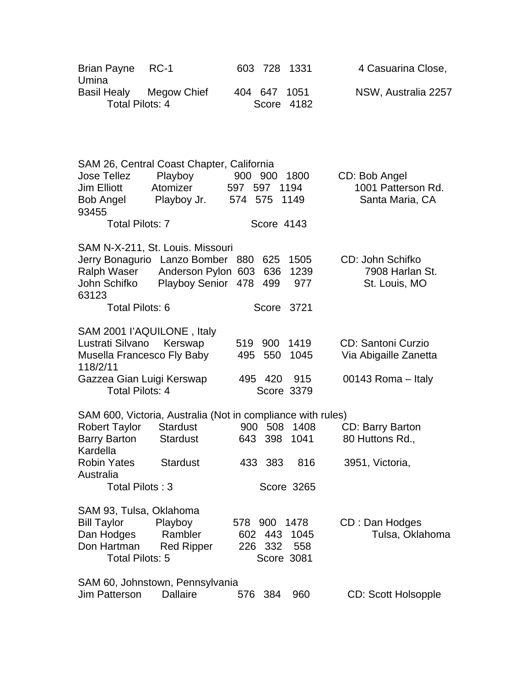| <b>Brian Payne</b><br>Umina                                                                          | $RC-1$                                                                                                       | 603 728 1331                                        |                      | 4 Casuarina Close,                                     |
|------------------------------------------------------------------------------------------------------|--------------------------------------------------------------------------------------------------------------|-----------------------------------------------------|----------------------|--------------------------------------------------------|
| Basil Healy Megow Chief<br><b>Total Pilots: 4</b>                                                    |                                                                                                              | 404 647<br>Score 4182                               | 1051                 | NSW, Australia 2257                                    |
|                                                                                                      |                                                                                                              |                                                     |                      |                                                        |
| <b>Jose Tellez</b><br><b>Jim Elliott</b><br>Bob Angel<br>93455                                       | SAM 26, Central Coast Chapter, California<br>Playboy<br>Atomizer<br>Playboy Jr.                              | 900 900<br>597 597<br>574 575                       | 1800<br>1194<br>1149 | CD: Bob Angel<br>1001 Patterson Rd.<br>Santa Maria, CA |
| <b>Total Pilots: 7</b>                                                                               |                                                                                                              | Score 4143                                          |                      |                                                        |
| Ralph Waser<br>John Schifko<br>63123                                                                 | SAM N-X-211, St. Louis. Missouri<br>Jerry Bonagurio Lanzo Bomber<br>Anderson Pylon 603<br>Playboy Senior 478 | 880<br>625<br>636<br>499                            | 1505<br>1239<br>977  | CD: John Schifko<br>7908 Harlan St.<br>St. Louis, MO   |
| Total Pilots: 6                                                                                      |                                                                                                              | Score 3721                                          |                      |                                                        |
| SAM 2001 l'AQUILONE, Italy<br>Lustrati Silvano<br>Musella Francesco Fly Baby                         | Kerswap                                                                                                      | 900<br>519<br>495<br>550                            | 1419<br>1045         | <b>CD: Santoni Curzio</b><br>Via Abigaille Zanetta     |
| 118/2/11<br>Gazzea Gian Luigi Kerswap<br><b>Total Pilots: 4</b>                                      |                                                                                                              | 495 420<br>Score 3379                               | 915                  | 00143 Roma – Italy                                     |
| <b>Robert Taylor</b><br><b>Barry Barton</b><br>Kardella                                              | SAM 600, Victoria, Australia (Not in compliance with rules)<br><b>Stardust</b><br><b>Stardust</b>            | 900 508<br>643 398                                  | 1408<br>1041         | CD: Barry Barton<br>80 Huttons Rd.,                    |
| <b>Robin Yates</b><br>Australia<br>Total Pilots: 3                                                   | <b>Stardust</b>                                                                                              | 433 383<br>Score 3265                               | 816                  | 3951, Victoria,                                        |
| SAM 93, Tulsa, Oklahoma<br><b>Bill Taylor</b><br>Dan Hodges<br>Don Hartman<br><b>Total Pilots: 5</b> | Playboy<br>Rambler<br><b>Red Ripper</b>                                                                      | 578 900 1478<br>443<br>602<br>226 332<br>Score 3081 | 1045<br>558          | CD: Dan Hodges<br>Tulsa, Oklahoma                      |
| <b>Jim Patterson</b>                                                                                 | SAM 60, Johnstown, Pennsylvania<br><b>Dallaire</b>                                                           | 384<br>576                                          | 960                  | <b>CD: Scott Holsopple</b>                             |